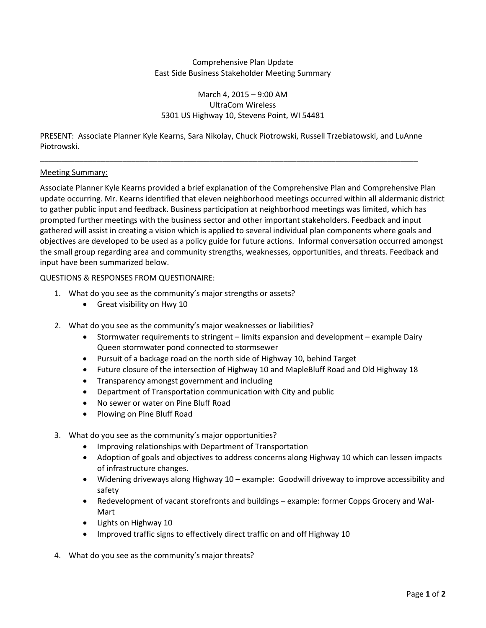## Comprehensive Plan Update East Side Business Stakeholder Meeting Summary

# March 4, 2015 – 9:00 AM UltraCom Wireless 5301 US Highway 10, Stevens Point, WI 54481

PRESENT: Associate Planner Kyle Kearns, Sara Nikolay, Chuck Piotrowski, Russell Trzebiatowski, and LuAnne Piotrowski.

\_\_\_\_\_\_\_\_\_\_\_\_\_\_\_\_\_\_\_\_\_\_\_\_\_\_\_\_\_\_\_\_\_\_\_\_\_\_\_\_\_\_\_\_\_\_\_\_\_\_\_\_\_\_\_\_\_\_\_\_\_\_\_\_\_\_\_\_\_\_\_\_\_\_\_\_\_\_\_\_\_\_\_\_\_\_\_

### Meeting Summary:

Associate Planner Kyle Kearns provided a brief explanation of the Comprehensive Plan and Comprehensive Plan update occurring. Mr. Kearns identified that eleven neighborhood meetings occurred within all aldermanic district to gather public input and feedback. Business participation at neighborhood meetings was limited, which has prompted further meetings with the business sector and other important stakeholders. Feedback and input gathered will assist in creating a vision which is applied to several individual plan components where goals and objectives are developed to be used as a policy guide for future actions. Informal conversation occurred amongst the small group regarding area and community strengths, weaknesses, opportunities, and threats. Feedback and input have been summarized below.

- 1. What do you see as the community's major strengths or assets?
	- Great visibility on Hwy 10
- 2. What do you see as the community's major weaknesses or liabilities?
	- Stormwater requirements to stringent limits expansion and development example Dairy Queen stormwater pond connected to stormsewer
	- Pursuit of a backage road on the north side of Highway 10, behind Target
	- Future closure of the intersection of Highway 10 and MapleBluff Road and Old Highway 18
	- Transparency amongst government and including
	- Department of Transportation communication with City and public
	- No sewer or water on Pine Bluff Road
	- Plowing on Pine Bluff Road
- 3. What do you see as the community's major opportunities?
	- Improving relationships with Department of Transportation
	- Adoption of goals and objectives to address concerns along Highway 10 which can lessen impacts of infrastructure changes.
	- Widening driveways along Highway 10 example: Goodwill driveway to improve accessibility and safety
	- Redevelopment of vacant storefronts and buildings example: former Copps Grocery and Wal-Mart
	- Lights on Highway 10
	- Improved traffic signs to effectively direct traffic on and off Highway 10
- 4. What do you see as the community's major threats?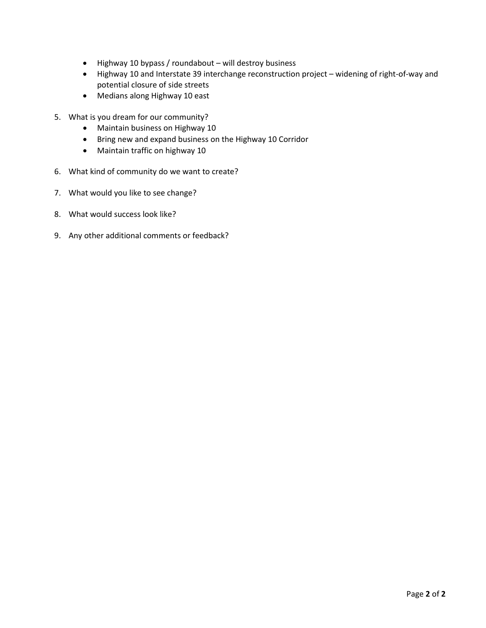- Highway 10 bypass / roundabout will destroy business
- Highway 10 and Interstate 39 interchange reconstruction project widening of right-of-way and potential closure of side streets
- Medians along Highway 10 east
- 5. What is you dream for our community?
	- Maintain business on Highway 10
	- Bring new and expand business on the Highway 10 Corridor
	- Maintain traffic on highway 10
- 6. What kind of community do we want to create?
- 7. What would you like to see change?
- 8. What would success look like?
- 9. Any other additional comments or feedback?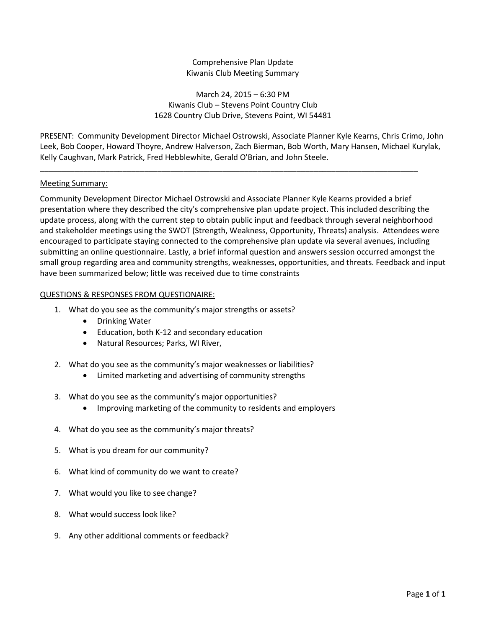# Comprehensive Plan Update Kiwanis Club Meeting Summary

## March 24, 2015 – 6:30 PM Kiwanis Club – Stevens Point Country Club 1628 Country Club Drive, Stevens Point, WI 54481

PRESENT: Community Development Director Michael Ostrowski, Associate Planner Kyle Kearns, Chris Crimo, John Leek, Bob Cooper, Howard Thoyre, Andrew Halverson, Zach Bierman, Bob Worth, Mary Hansen, Michael Kurylak, Kelly Caughvan, Mark Patrick, Fred Hebblewhite, Gerald O'Brian, and John Steele.

\_\_\_\_\_\_\_\_\_\_\_\_\_\_\_\_\_\_\_\_\_\_\_\_\_\_\_\_\_\_\_\_\_\_\_\_\_\_\_\_\_\_\_\_\_\_\_\_\_\_\_\_\_\_\_\_\_\_\_\_\_\_\_\_\_\_\_\_\_\_\_\_\_\_\_\_\_\_\_\_\_\_\_\_\_\_\_

# Meeting Summary:

Community Development Director Michael Ostrowski and Associate Planner Kyle Kearns provided a brief presentation where they described the city's comprehensive plan update project. This included describing the update process, along with the current step to obtain public input and feedback through several neighborhood and stakeholder meetings using the SWOT (Strength, Weakness, Opportunity, Threats) analysis. Attendees were encouraged to participate staying connected to the comprehensive plan update via several avenues, including submitting an online questionnaire. Lastly, a brief informal question and answers session occurred amongst the small group regarding area and community strengths, weaknesses, opportunities, and threats. Feedback and input have been summarized below; little was received due to time constraints

- 1. What do you see as the community's major strengths or assets?
	- Drinking Water
	- Education, both K-12 and secondary education
	- Natural Resources; Parks, WI River,
- 2. What do you see as the community's major weaknesses or liabilities?
	- Limited marketing and advertising of community strengths
- 3. What do you see as the community's major opportunities?
	- Improving marketing of the community to residents and employers
- 4. What do you see as the community's major threats?
- 5. What is you dream for our community?
- 6. What kind of community do we want to create?
- 7. What would you like to see change?
- 8. What would success look like?
- 9. Any other additional comments or feedback?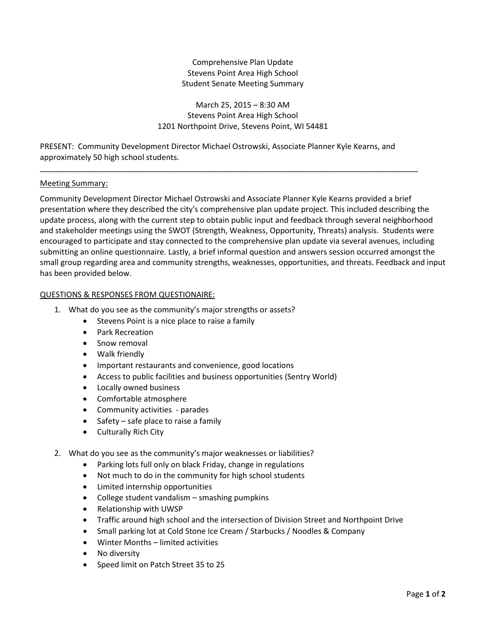# Comprehensive Plan Update Stevens Point Area High School Student Senate Meeting Summary

March 25, 2015 – 8:30 AM Stevens Point Area High School 1201 Northpoint Drive, Stevens Point, WI 54481

PRESENT: Community Development Director Michael Ostrowski, Associate Planner Kyle Kearns, and approximately 50 high school students.

\_\_\_\_\_\_\_\_\_\_\_\_\_\_\_\_\_\_\_\_\_\_\_\_\_\_\_\_\_\_\_\_\_\_\_\_\_\_\_\_\_\_\_\_\_\_\_\_\_\_\_\_\_\_\_\_\_\_\_\_\_\_\_\_\_\_\_\_\_\_\_\_\_\_\_\_\_\_\_\_\_\_\_\_\_\_\_

### Meeting Summary:

Community Development Director Michael Ostrowski and Associate Planner Kyle Kearns provided a brief presentation where they described the city's comprehensive plan update project. This included describing the update process, along with the current step to obtain public input and feedback through several neighborhood and stakeholder meetings using the SWOT (Strength, Weakness, Opportunity, Threats) analysis. Students were encouraged to participate and stay connected to the comprehensive plan update via several avenues, including submitting an online questionnaire. Lastly, a brief informal question and answers session occurred amongst the small group regarding area and community strengths, weaknesses, opportunities, and threats. Feedback and input has been provided below.

- 1. What do you see as the community's major strengths or assets?
	- Stevens Point is a nice place to raise a family
	- Park Recreation
	- Snow removal
	- Walk friendly
	- Important restaurants and convenience, good locations
	- Access to public facilities and business opportunities (Sentry World)
	- Locally owned business
	- Comfortable atmosphere
	- Community activities parades
	- Safety safe place to raise a family
	- Culturally Rich City
- 2. What do you see as the community's major weaknesses or liabilities?
	- Parking lots full only on black Friday, change in regulations
	- Not much to do in the community for high school students
	- Limited internship opportunities
	- College student vandalism smashing pumpkins
	- Relationship with UWSP
	- Traffic around high school and the intersection of Division Street and Northpoint Drive
	- Small parking lot at Cold Stone Ice Cream / Starbucks / Noodles & Company
	- Winter Months limited activities
	- No diversity
	- Speed limit on Patch Street 35 to 25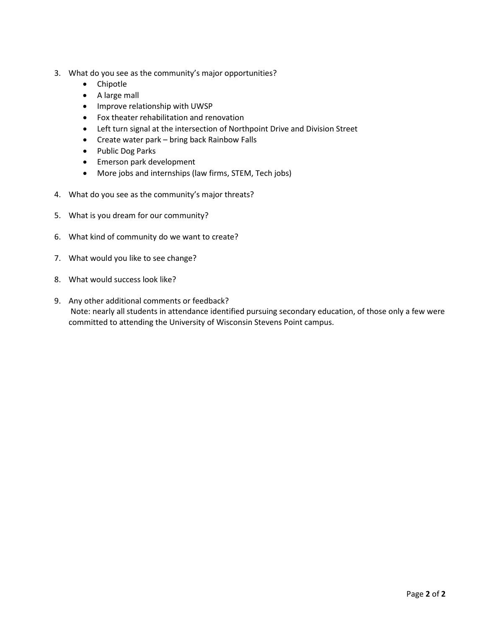- 3. What do you see as the community's major opportunities?
	- Chipotle
	- A large mall
	- Improve relationship with UWSP
	- Fox theater rehabilitation and renovation
	- Left turn signal at the intersection of Northpoint Drive and Division Street
	- Create water park bring back Rainbow Falls
	- Public Dog Parks
	- Emerson park development
	- More jobs and internships (law firms, STEM, Tech jobs)
- 4. What do you see as the community's major threats?
- 5. What is you dream for our community?
- 6. What kind of community do we want to create?
- 7. What would you like to see change?
- 8. What would success look like?
- 9. Any other additional comments or feedback? Note: nearly all students in attendance identified pursuing secondary education, of those only a few were committed to attending the University of Wisconsin Stevens Point campus.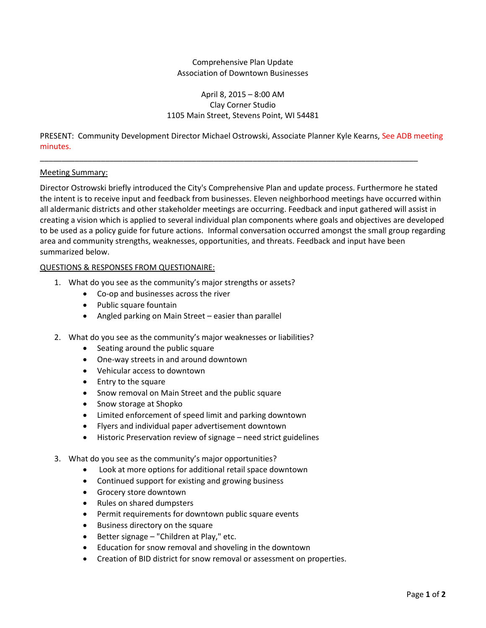## Comprehensive Plan Update Association of Downtown Businesses

# April 8, 2015 – 8:00 AM Clay Corner Studio 1105 Main Street, Stevens Point, WI 54481

PRESENT: Community Development Director Michael Ostrowski, Associate Planner Kyle Kearns, See ADB meeting minutes.

\_\_\_\_\_\_\_\_\_\_\_\_\_\_\_\_\_\_\_\_\_\_\_\_\_\_\_\_\_\_\_\_\_\_\_\_\_\_\_\_\_\_\_\_\_\_\_\_\_\_\_\_\_\_\_\_\_\_\_\_\_\_\_\_\_\_\_\_\_\_\_\_\_\_\_\_\_\_\_\_\_\_\_\_\_\_\_

### Meeting Summary:

Director Ostrowski briefly introduced the City's Comprehensive Plan and update process. Furthermore he stated the intent is to receive input and feedback from businesses. Eleven neighborhood meetings have occurred within all aldermanic districts and other stakeholder meetings are occurring. Feedback and input gathered will assist in creating a vision which is applied to several individual plan components where goals and objectives are developed to be used as a policy guide for future actions. Informal conversation occurred amongst the small group regarding area and community strengths, weaknesses, opportunities, and threats. Feedback and input have been summarized below.

- 1. What do you see as the community's major strengths or assets?
	- Co-op and businesses across the river
	- Public square fountain
	- Angled parking on Main Street easier than parallel
- 2. What do you see as the community's major weaknesses or liabilities?
	- Seating around the public square
	- One-way streets in and around downtown
	- Vehicular access to downtown
	- Entry to the square
	- Snow removal on Main Street and the public square
	- Snow storage at Shopko
	- Limited enforcement of speed limit and parking downtown
	- Flyers and individual paper advertisement downtown
	- Historic Preservation review of signage need strict guidelines
- 3. What do you see as the community's major opportunities?
	- Look at more options for additional retail space downtown
	- Continued support for existing and growing business
	- Grocery store downtown
	- Rules on shared dumpsters
	- Permit requirements for downtown public square events
	- Business directory on the square
	- Better signage "Children at Play," etc.
	- Education for snow removal and shoveling in the downtown
	- Creation of BID district for snow removal or assessment on properties.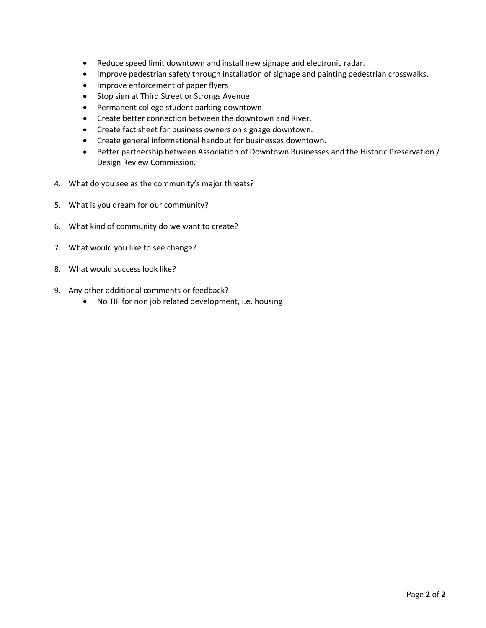- Reduce speed limit downtown and install new signage and electronic radar.
- Improve pedestrian safety through installation of signage and painting pedestrian crosswalks.
- Improve enforcement of paper flyers
- Stop sign at Third Street or Strongs Avenue
- Permanent college student parking downtown
- Create better connection between the downtown and River.
- Create fact sheet for business owners on signage downtown.
- Create general informational handout for businesses downtown.
- Better partnership between Association of Downtown Businesses and the Historic Preservation / Design Review Commission.
- 4. What do you see as the community's major threats?
- 5. What is you dream for our community?
- 6. What kind of community do we want to create?
- 7. What would you like to see change?
- 8. What would success look like?
- 9. Any other additional comments or feedback?
	- No TIF for non job related development, i.e. housing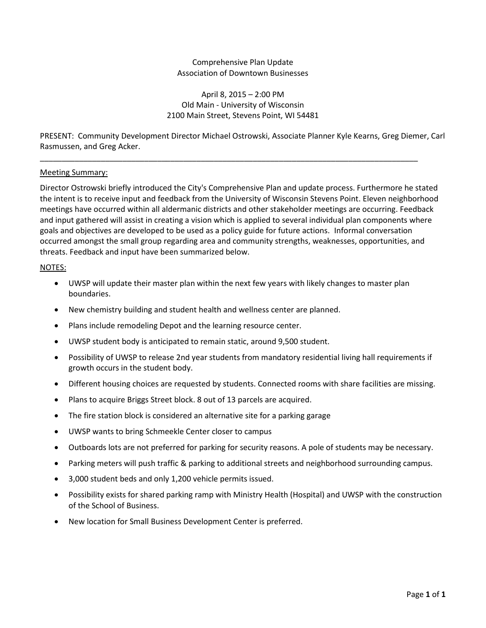## Comprehensive Plan Update Association of Downtown Businesses

## April 8, 2015 – 2:00 PM Old Main - University of Wisconsin 2100 Main Street, Stevens Point, WI 54481

PRESENT: Community Development Director Michael Ostrowski, Associate Planner Kyle Kearns, Greg Diemer, Carl Rasmussen, and Greg Acker.

\_\_\_\_\_\_\_\_\_\_\_\_\_\_\_\_\_\_\_\_\_\_\_\_\_\_\_\_\_\_\_\_\_\_\_\_\_\_\_\_\_\_\_\_\_\_\_\_\_\_\_\_\_\_\_\_\_\_\_\_\_\_\_\_\_\_\_\_\_\_\_\_\_\_\_\_\_\_\_\_\_\_\_\_\_\_\_

### Meeting Summary:

Director Ostrowski briefly introduced the City's Comprehensive Plan and update process. Furthermore he stated the intent is to receive input and feedback from the University of Wisconsin Stevens Point. Eleven neighborhood meetings have occurred within all aldermanic districts and other stakeholder meetings are occurring. Feedback and input gathered will assist in creating a vision which is applied to several individual plan components where goals and objectives are developed to be used as a policy guide for future actions. Informal conversation occurred amongst the small group regarding area and community strengths, weaknesses, opportunities, and threats. Feedback and input have been summarized below.

#### NOTES:

- UWSP will update their master plan within the next few years with likely changes to master plan boundaries.
- New chemistry building and student health and wellness center are planned.
- Plans include remodeling Depot and the learning resource center.
- UWSP student body is anticipated to remain static, around 9,500 student.
- Possibility of UWSP to release 2nd year students from mandatory residential living hall requirements if growth occurs in the student body.
- Different housing choices are requested by students. Connected rooms with share facilities are missing.
- Plans to acquire Briggs Street block. 8 out of 13 parcels are acquired.
- The fire station block is considered an alternative site for a parking garage
- UWSP wants to bring Schmeekle Center closer to campus
- Outboards lots are not preferred for parking for security reasons. A pole of students may be necessary.
- Parking meters will push traffic & parking to additional streets and neighborhood surrounding campus.
- 3,000 student beds and only 1,200 vehicle permits issued.
- Possibility exists for shared parking ramp with Ministry Health (Hospital) and UWSP with the construction of the School of Business.
- New location for Small Business Development Center is preferred.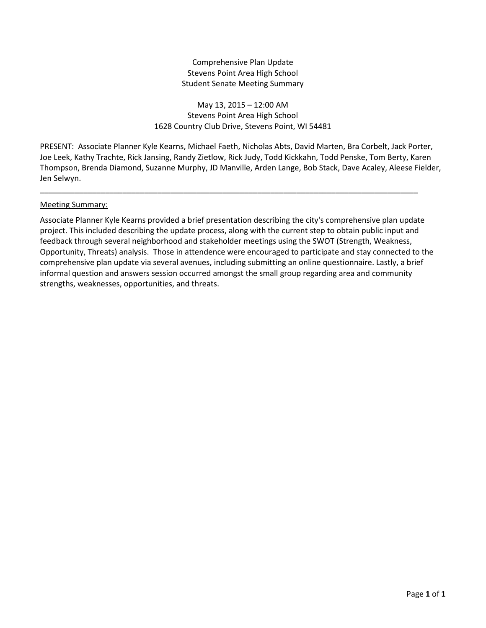# Comprehensive Plan Update Stevens Point Area High School Student Senate Meeting Summary

May 13, 2015 – 12:00 AM Stevens Point Area High School 1628 Country Club Drive, Stevens Point, WI 54481

PRESENT: Associate Planner Kyle Kearns, Michael Faeth, Nicholas Abts, David Marten, Bra Corbelt, Jack Porter, Joe Leek, Kathy Trachte, Rick Jansing, Randy Zietlow, Rick Judy, Todd Kickkahn, Todd Penske, Tom Berty, Karen Thompson, Brenda Diamond, Suzanne Murphy, JD Manville, Arden Lange, Bob Stack, Dave Acaley, Aleese Fielder, Jen Selwyn.

\_\_\_\_\_\_\_\_\_\_\_\_\_\_\_\_\_\_\_\_\_\_\_\_\_\_\_\_\_\_\_\_\_\_\_\_\_\_\_\_\_\_\_\_\_\_\_\_\_\_\_\_\_\_\_\_\_\_\_\_\_\_\_\_\_\_\_\_\_\_\_\_\_\_\_\_\_\_\_\_\_\_\_\_\_\_\_

# Meeting Summary:

Associate Planner Kyle Kearns provided a brief presentation describing the city's comprehensive plan update project. This included describing the update process, along with the current step to obtain public input and feedback through several neighborhood and stakeholder meetings using the SWOT (Strength, Weakness, Opportunity, Threats) analysis. Those in attendence were encouraged to participate and stay connected to the comprehensive plan update via several avenues, including submitting an online questionnaire. Lastly, a brief informal question and answers session occurred amongst the small group regarding area and community strengths, weaknesses, opportunities, and threats.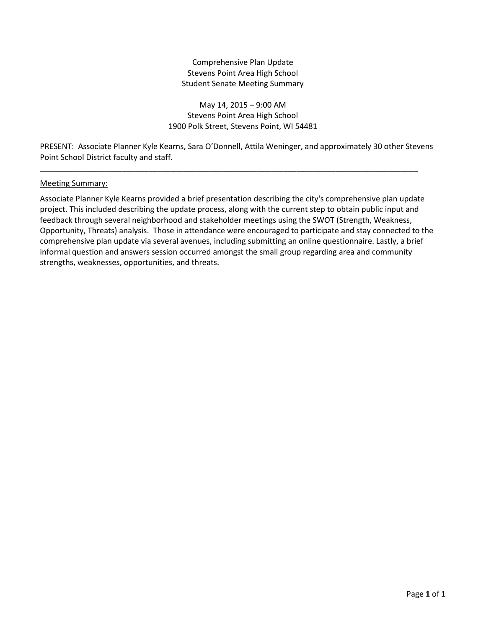# Comprehensive Plan Update Stevens Point Area High School Student Senate Meeting Summary

May 14, 2015 – 9:00 AM Stevens Point Area High School 1900 Polk Street, Stevens Point, WI 54481

PRESENT: Associate Planner Kyle Kearns, Sara O'Donnell, Attila Weninger, and approximately 30 other Stevens Point School District faculty and staff.

\_\_\_\_\_\_\_\_\_\_\_\_\_\_\_\_\_\_\_\_\_\_\_\_\_\_\_\_\_\_\_\_\_\_\_\_\_\_\_\_\_\_\_\_\_\_\_\_\_\_\_\_\_\_\_\_\_\_\_\_\_\_\_\_\_\_\_\_\_\_\_\_\_\_\_\_\_\_\_\_\_\_\_\_\_\_\_

### Meeting Summary:

Associate Planner Kyle Kearns provided a brief presentation describing the city's comprehensive plan update project. This included describing the update process, along with the current step to obtain public input and feedback through several neighborhood and stakeholder meetings using the SWOT (Strength, Weakness, Opportunity, Threats) analysis. Those in attendance were encouraged to participate and stay connected to the comprehensive plan update via several avenues, including submitting an online questionnaire. Lastly, a brief informal question and answers session occurred amongst the small group regarding area and community strengths, weaknesses, opportunities, and threats.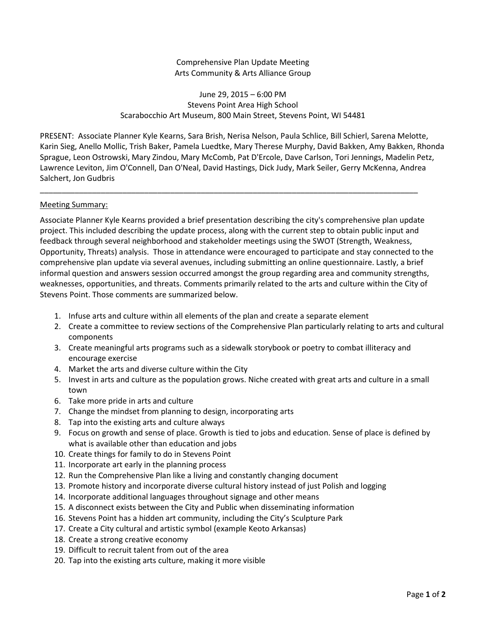Comprehensive Plan Update Meeting Arts Community & Arts Alliance Group

June 29, 2015 – 6:00 PM Stevens Point Area High School Scarabocchio Art Museum, 800 Main Street, Stevens Point, WI 54481

PRESENT: Associate Planner Kyle Kearns, Sara Brish, Nerisa Nelson, Paula Schlice, Bill Schierl, Sarena Melotte, Karin Sieg, Anello Mollic, Trish Baker, Pamela Luedtke, Mary Therese Murphy, David Bakken, Amy Bakken, Rhonda Sprague, Leon Ostrowski, Mary Zindou, Mary McComb, Pat D'Ercole, Dave Carlson, Tori Jennings, Madelin Petz, Lawrence Leviton, Jim O'Connell, Dan O'Neal, David Hastings, Dick Judy, Mark Seiler, Gerry McKenna, Andrea Salchert, Jon Gudbris

\_\_\_\_\_\_\_\_\_\_\_\_\_\_\_\_\_\_\_\_\_\_\_\_\_\_\_\_\_\_\_\_\_\_\_\_\_\_\_\_\_\_\_\_\_\_\_\_\_\_\_\_\_\_\_\_\_\_\_\_\_\_\_\_\_\_\_\_\_\_\_\_\_\_\_\_\_\_\_\_\_\_\_\_\_\_\_

# Meeting Summary:

Associate Planner Kyle Kearns provided a brief presentation describing the city's comprehensive plan update project. This included describing the update process, along with the current step to obtain public input and feedback through several neighborhood and stakeholder meetings using the SWOT (Strength, Weakness, Opportunity, Threats) analysis. Those in attendance were encouraged to participate and stay connected to the comprehensive plan update via several avenues, including submitting an online questionnaire. Lastly, a brief informal question and answers session occurred amongst the group regarding area and community strengths, weaknesses, opportunities, and threats. Comments primarily related to the arts and culture within the City of Stevens Point. Those comments are summarized below.

- 1. Infuse arts and culture within all elements of the plan and create a separate element
- 2. Create a committee to review sections of the Comprehensive Plan particularly relating to arts and cultural components
- 3. Create meaningful arts programs such as a sidewalk storybook or poetry to combat illiteracy and encourage exercise
- 4. Market the arts and diverse culture within the City
- 5. Invest in arts and culture as the population grows. Niche created with great arts and culture in a small town
- 6. Take more pride in arts and culture
- 7. Change the mindset from planning to design, incorporating arts
- 8. Tap into the existing arts and culture always
- 9. Focus on growth and sense of place. Growth is tied to jobs and education. Sense of place is defined by what is available other than education and jobs
- 10. Create things for family to do in Stevens Point
- 11. Incorporate art early in the planning process
- 12. Run the Comprehensive Plan like a living and constantly changing document
- 13. Promote history and incorporate diverse cultural history instead of just Polish and logging
- 14. Incorporate additional languages throughout signage and other means
- 15. A disconnect exists between the City and Public when disseminating information
- 16. Stevens Point has a hidden art community, including the City's Sculpture Park
- 17. Create a City cultural and artistic symbol (example Keoto Arkansas)
- 18. Create a strong creative economy
- 19. Difficult to recruit talent from out of the area
- 20. Tap into the existing arts culture, making it more visible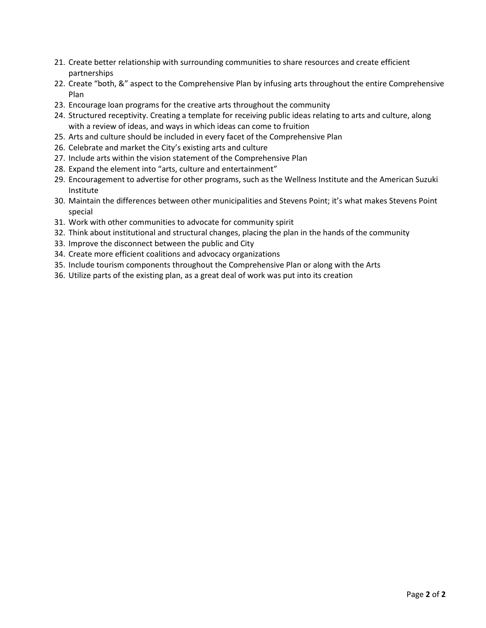- 21. Create better relationship with surrounding communities to share resources and create efficient partnerships
- 22. Create "both, &" aspect to the Comprehensive Plan by infusing arts throughout the entire Comprehensive Plan
- 23. Encourage loan programs for the creative arts throughout the community
- 24. Structured receptivity. Creating a template for receiving public ideas relating to arts and culture, along with a review of ideas, and ways in which ideas can come to fruition
- 25. Arts and culture should be included in every facet of the Comprehensive Plan
- 26. Celebrate and market the City's existing arts and culture
- 27. Include arts within the vision statement of the Comprehensive Plan
- 28. Expand the element into "arts, culture and entertainment"
- 29. Encouragement to advertise for other programs, such as the Wellness Institute and the American Suzuki Institute
- 30. Maintain the differences between other municipalities and Stevens Point; it's what makes Stevens Point special
- 31. Work with other communities to advocate for community spirit
- 32. Think about institutional and structural changes, placing the plan in the hands of the community
- 33. Improve the disconnect between the public and City
- 34. Create more efficient coalitions and advocacy organizations
- 35. Include tourism components throughout the Comprehensive Plan or along with the Arts
- 36. Utilize parts of the existing plan, as a great deal of work was put into its creation